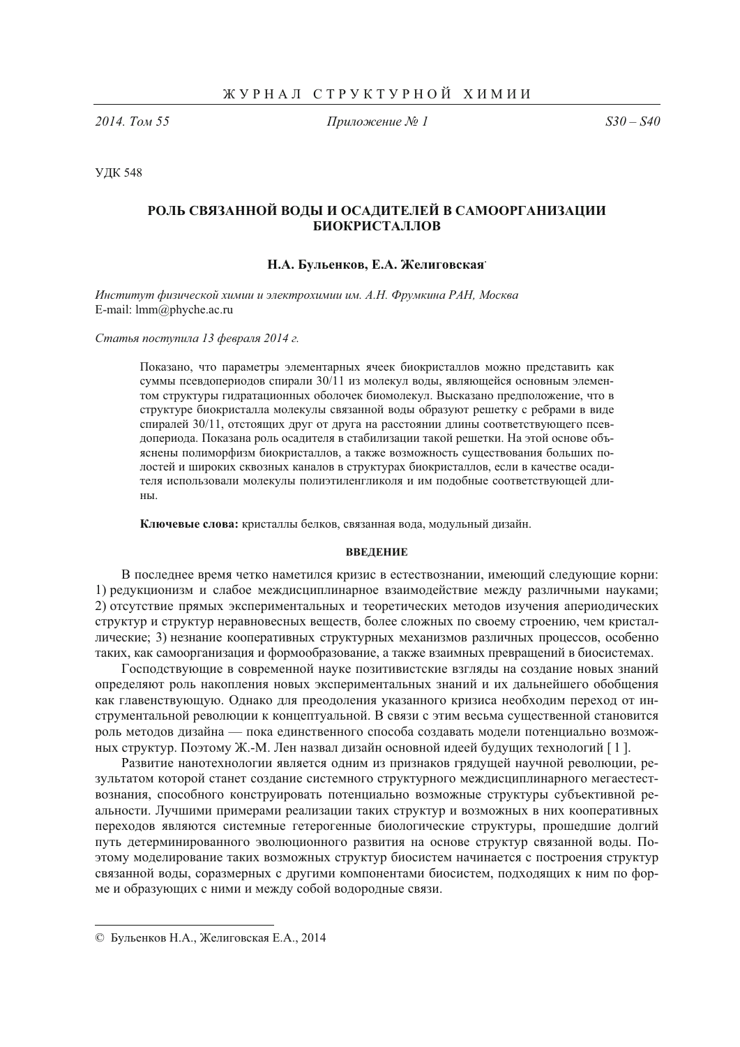2014. Том 55

Приложение № 1

 $S30 - S40$ 

**УДК 548** 

# РОЛЬ СВЯЗАННОЙ ВОДЫ И ОСАДИТЕЛЕЙ В САМООРГАНИЗАЦИИ **БИОКРИСТАЛЛОВ**

# Н.А. Бульенков, Е.А. Желиговская

Институт физической химии и электрохимии им. А.Н. Фрумкина РАН, Москва E-mail: lmm@phyche.ac.ru

Статья поступила 13 февраля 2014 г.

Показано, что параметры элементарных ячеек биокристаллов можно представить как суммы псевдопериодов спирали  $30/11$  из молекул воды, являющейся основным элементом структуры гидратационных оболочек биомолекул. Высказано предположение, что в структуре биокристалла молекулы связанной воды образуют решетку с ребрами в виде спиралей 30/11, отстоящих друг от друга на расстоянии длины соответствующего псевдопериода. Показана роль осадителя в стабилизации такой решетки. На этой основе объяснены полиморфизм биокристаллов, а также возможность существования больших полостей и широких сквозных каналов в структурах биокристаллов, если в качестве осадителя использовали молекулы полиэтиленгликоля и им подобные соответствующей дли-HЫ.

Ключевые слова: кристаллы белков, связанная вода, модульный дизайн.

#### **ВВЕДЕНИЕ**

В последнее время четко наметился кризис в естествознании, имеющий следующие корни: 1) редукционизм и слабое междисциплинарное взаимодействие между различными науками; 2) отсутствие прямых экспериментальных и теоретических методов изучения апериодических структур и структур неравновесных веществ, более сложных по своему строению, чем кристаллические; 3) незнание кооперативных структурных механизмов различных процессов, особенно таких, как самоорганизация и формообразование, а также взаимных превращений в биосистемах.

Господствующие в современной науке позитивистские взгляды на создание новых знаний определяют роль накопления новых экспериментальных знаний и их дальнейшего обобщения как главенствующую. Однако для преодоления указанного кризиса необходим переход от инструментальной революции к концептуальной. В связи с этим весьма существенной становится роль методов дизайна — пока единственного способа создавать модели потенциально возможных структур. Поэтому Ж.-М. Лен назвал дизайн основной идеей будущих технологий [1].

Развитие нанотехнологии является одним из признаков грядущей научной революции, результатом которой станет создание системного структурного междисциплинарного мегаестествознания, способного конструировать потенциально возможные структуры субъективной реальности. Лучшими примерами реализации таких структур и возможных в них кооперативных переходов являются системные гетерогенные биологические структуры, прошедшие долгий путь детерминированного эволюционного развития на основе структур связанной воды. Поэтому моделирование таких возможных структур биосистем начинается с построения структур связанной воды, соразмерных с другими компонентами биосистем, подходящих к ним по форме и образующих с ними и между собой водородные связи.

<sup>©</sup> Бульенков Н.А., Желиговская Е.А., 2014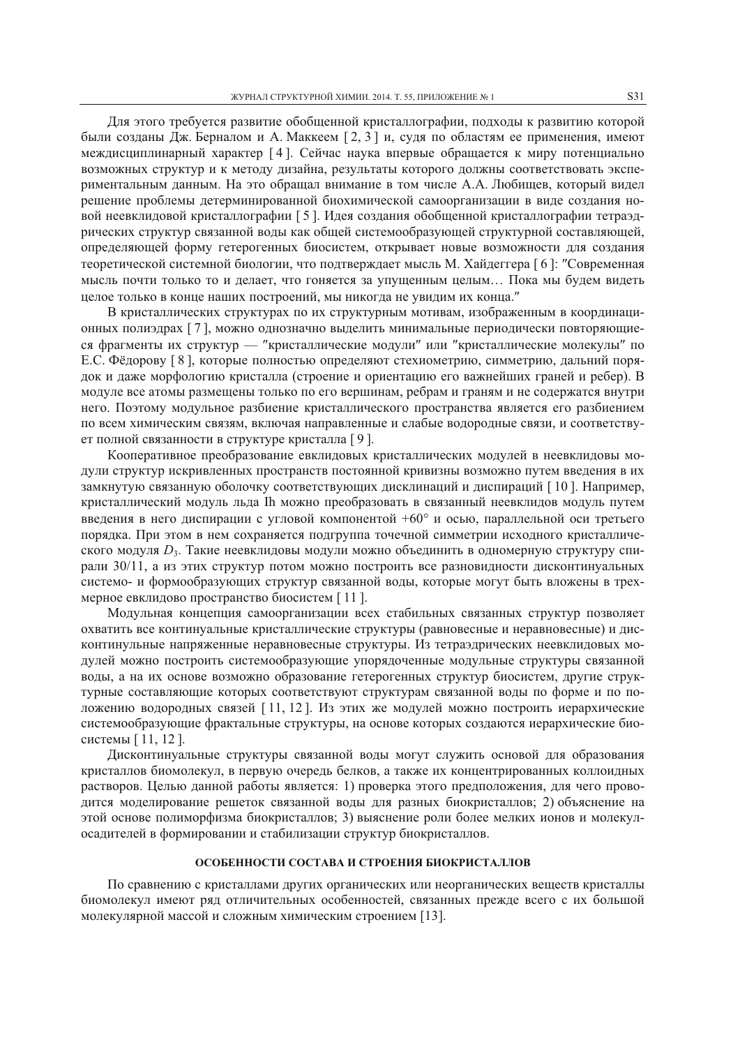Для этого требуется развитие обобщенной кристаллографии, подходы к развитию которой были созданы Дж. Берналом и А. Маккеем [2, 3] и, судя по областям ее применения, имеют междисциплинарный характер [4]. Сейчас наука впервые обращается к миру потенциально возможных структур и к методу дизайна, результаты которого должны соответствовать экспериментальным данным. На это обращал внимание в том числе А.А. Любищев, который видел решение проблемы детерминированной биохимической самоорганизации в виде создания новой неевклидовой кристаллографии [5]. Идея создания обобщенной кристаллографии тетраэдрических структур связанной воды как общей системообразующей структурной составляющей, определяющей форму гетерогенных биосистем, открывает новые возможности для создания теоретической системной биологии, что подтверждает мысль М. Хайдеггера [6]: "Современная мысль почти только то и делает, что гоняется за упущенным целым... Пока мы будем видеть целое только в конце наших построений, мы никогда не увидим их конца."

В кристаллических структурах по их структурным мотивам, изображенным в координационных полиэдрах [7], можно однозначно выделить минимальные периодически повторяющиеся фрагменты их структур — "кристаллические модули" или "кристаллические молекулы" по Е.С. Фёдорову [8], которые полностью определяют стехиометрию, симметрию, дальний порялок и даже морфологию кристалла (строение и ориентацию его важнейших граней и ребер). В модуле все атомы размещены только по его вершинам, ребрам и граням и не содержатся внутри него. Поэтому модульное разбиение кристаллического пространства является его разбиением по всем химическим связям, включая направленные и слабые водородные связи, и соответствует полной связанности в структуре кристалла [9].

Кооперативное преобразование евклидовых кристаллических модулей в неевклидовы молули структур искривленных пространств постоянной кривизны возможно путем ввеления в их замкнутую связанную оболочку соответствующих дисклинаций и диспираций [10]. Например, кристаллический модуль льда Ih можно преобразовать в связанный неевклидов модуль путем введения в него диспирации с угловой компонентой  $+60^{\circ}$  и осью, параллельной оси третьего порядка. При этом в нем сохраняется подгруппа точечной симметрии исходного кристаллического модуля  $D_3$ . Такие неевклидовы модули можно объединить в одномерную структуру спирали 30/11, а из этих структур потом можно построить все разновидности дисконтинуальных системо- и формообразующих структур связанной воды, которые могут быть вложены в трехмерное евклидово пространство биосистем [11].

Модульная концепция самоорганизации всех стабильных связанных структур позволяет охватить все континуальные кристаллические структуры (равновесные и неравновесные) и дисконтинульные напряженные неравновесные структуры. Из тетраэдрических неевклидовых модулей можно построить системообразующие упорядоченные модульные структуры связанной воды, а на их основе возможно образование гетерогенных структур биосистем, другие структурные составляющие которых соответствуют структурам связанной воды по форме и по положению водородных связей [11, 12]. Из этих же модулей можно построить иерархические системообразующие фрактальные структуры, на основе которых создаются иерархические биосистемы [11, 12].

Дисконтинуальные структуры связанной воды могут служить основой для образования кристаллов биомолекул, в первую очередь белков, а также их концентрированных коллоидных растворов. Целью данной работы является: 1) проверка этого предположения, для чего проводится моделирование решеток связанной воды для разных биокристаллов; 2) объяснение на этой основе полиморфизма биокристаллов; 3) выяснение роли более мелких ионов и молекулосадителей в формировании и стабилизации структур биокристаллов.

## ОСОБЕННОСТИ СОСТАВА И СТРОЕНИЯ БИОКРИСТАЛЛОВ

По сравнению с кристаллами других органических или неорганических веществ кристаллы биомолекул имеют ряд отличительных особенностей, связанных прежде всего с их большой молекулярной массой и сложным химическим строением [13].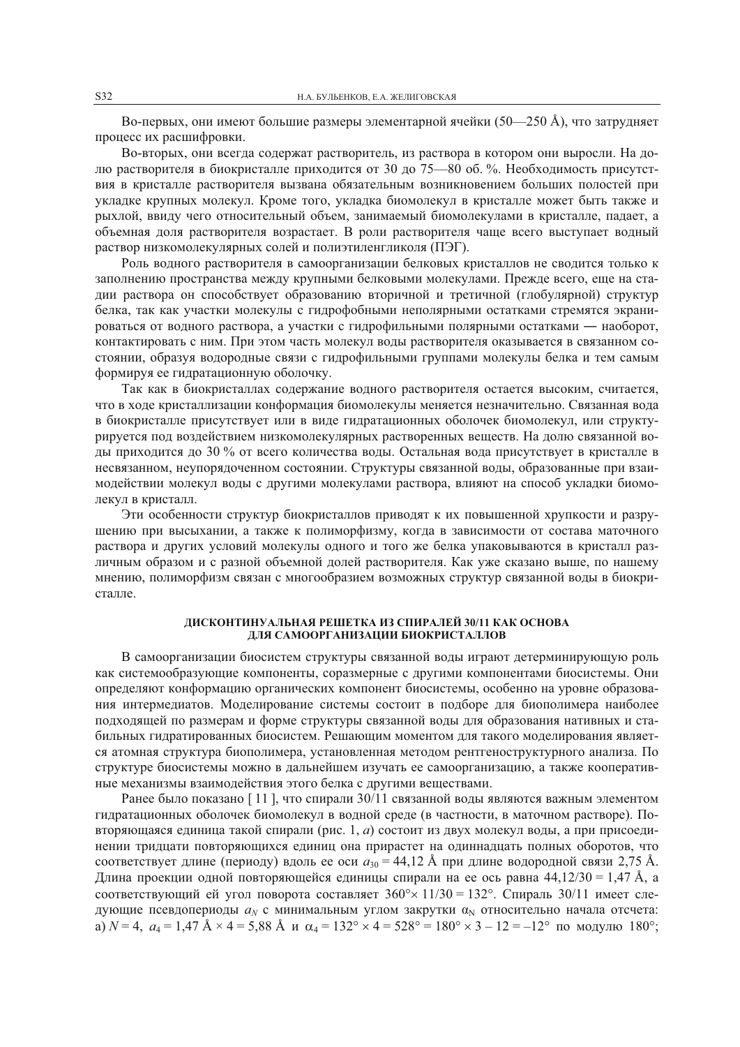Во-первых, они имеют большие размеры элементарной ячейки (50—250 Å), что затрудняет процесс их расшифровки.

Во-вторых, они всегда содержат растворитель, из раствора в котором они выросли. На долю растворителя в биокристалле приходится от 30 до 75—80 об. %. Необходимость присутствия в кристалле растворителя вызвана обязательным возникновением больших полостей при укладке крупных молекул. Кроме того, укладка биомолекул в кристалле может быть также и рыхлой, ввиду чего относительный объем, занимаемый биомолекулами в кристалле, падает, а объемная доля растворителя возрастает. В роли растворителя чаще всего выступает водный раствор низкомолекулярных солей и полиэтиленгликоля (ПЭГ).

Роль водного растворителя в самоорганизации белковых кристаллов не сводится только к заполнению пространства между крупными белковыми молекулами. Прежде всего, еще на стадии раствора он способствует образованию вторичной и третичной (глобулярной) структур белка, так как участки молекулы с гидрофобными неполярными остатками стремятся экранироваться от водного раствора, а участки с гидрофильными полярными остатками - наоборот, контактировать с ним. При этом часть молекул воды растворителя оказывается в связанном состоянии, образуя водородные связи с гидрофильными группами молекулы белка и тем самым формируя ее гидратационную оболочку.

Так как в биокристаллах содержание водного растворителя остается высоким, считается, что в ходе кристаллизации конформация биомолекулы меняется незначительно. Связанная вода в биокристалле присутствует или в виде гидратационных оболочек биомолекул, или структурируется под воздействием низкомолекулярных растворенных веществ. На долю связанной воды приходится до 30 % от всего количества воды. Остальная вода присутствует в кристалле в несвязанном, неупорядоченном состоянии. Структуры связанной воды, образованные при взаимодействии молекул воды с другими молекулами раствора, влияют на способ укладки биомолекул в кристалл.

Эти особенности структур биокристаллов приводят к их повышенной хрупкости и разрушению при высыхании, а также к полиморфизму, когда в зависимости от состава маточного раствора и других условий молекулы одного и того же белка упаковываются в кристалл различным образом и с разной объемной долей растворителя. Как уже сказано выше, по нашему мнению, полиморфизм связан с многообразием возможных структур связанной воды в биокристалле.

#### ДИСКОНТИНУАЛЬНАЯ РЕШЕТКА ИЗ СПИРАЛЕЙ 30/11 КАК ОСНОВА ЛЛЯ САМООРГАНИЗАЦИИ БИОКРИСТАЛЛОВ

В самоорганизации биосистем структуры связанной воды играют детерминирующую роль как системообразующие компоненты, соразмерные с другими компонентами биосистемы. Они определяют конформацию органических компонент биосистемы, особенно на уровне образования интермелиатов. Моделирование системы состоит в полборе для биополимера наиболее подходящей по размерам и форме структуры связанной воды для образования нативных и стабильных гидратированных биосистем. Решающим моментом для такого моделирования является атомная структура биополимера, установленная методом рентгеноструктурного анализа. По структуре биосистемы можно в дальнейшем изучать ее самоорганизацию, а также кооперативные механизмы взаимодействия этого белка с другими веществами.

Ранее было показано [11], что спирали  $30/11$  связанной воды являются важным элементом гидратационных оболочек биомолекул в водной среде (в частности, в маточном растворе). Повторяющаяся единица такой спирали (рис. 1, а) состоит из двух молекул воды, а при присоединении тридцати повторяющихся единиц она прирастет на одиннадцать полных оборотов, что соответствует длине (периоду) вдоль ее оси  $a_{30} = 44.12$  Å при длине водородной связи 2.75 Å. Длина проекции одной повторяющейся единицы спирали на ее ось равна 44,12/30 = 1,47 Å, а соответствующий ей угол поворота составляет  $360^{\circ} \times 11/30 = 132^{\circ}$ . Спираль  $30/11$  имеет следующие псевдопериоды  $a_N$  с минимальным углом закрутки  $a_N$  относительно начала отсчета: a)  $N=4$ ,  $a_4 = 1.47$   $\text{\AA} \times 4 = 5.88$   $\text{\AA}$   $\text{H}$   $\alpha_4 = 132^\circ \times 4 = 528^\circ = 180^\circ \times 3 - 12 = -12^\circ$  no модулю 180°;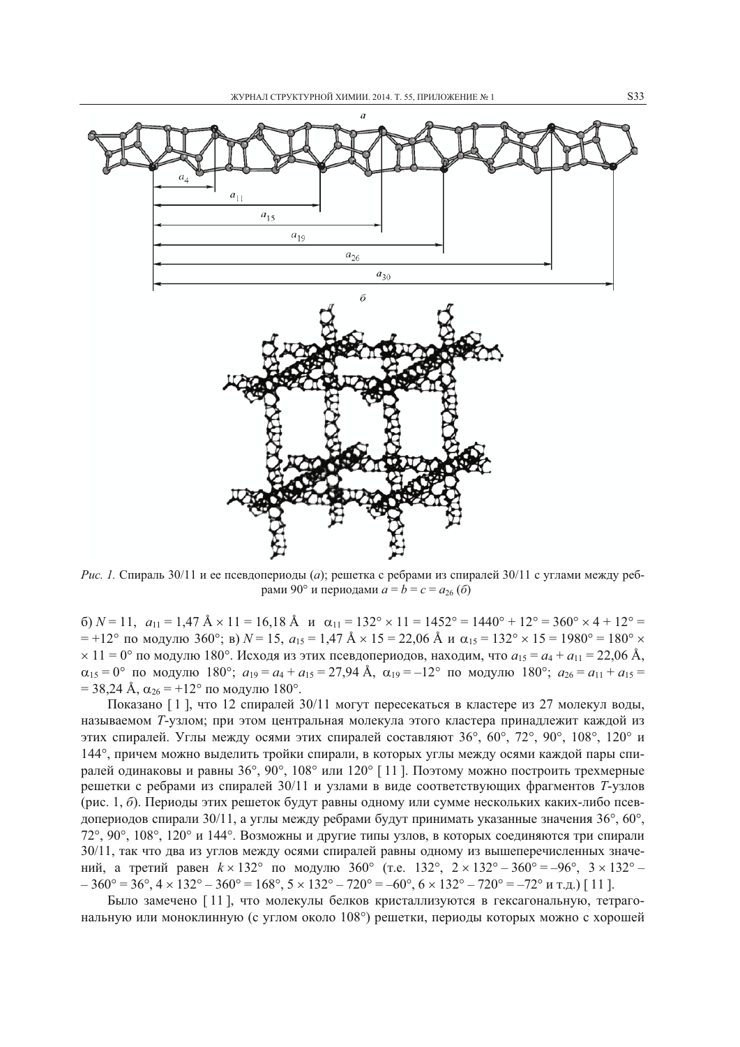

*Рис. 1.* Спираль 30/11 и ее псевдопериоды (а); решетка с ребрами из спиралей 30/11 с углами между ребрами 90° и периодами  $a = b = c = a_{26}(6)$ 

6)  $N = 11$ ,  $a_{11} = 1.47$   $\text{\AA} \times 11 = 16.18$   $\text{\AA}$   $\text{H}$   $\alpha_{11} = 132^{\circ} \times 11 = 1452^{\circ} = 1440^{\circ} + 12^{\circ} = 360^{\circ} \times 4 + 12^{\circ} = 1452^{\circ}$ = +12° по модулю 360°; в)  $N = 15$ ,  $a_{15} = 1.47$  Å  $\times$  15 = 22,06 Å и  $\alpha_{15} = 132$ °  $\times$  15 = 1980° = 180°  $\times$  $\times$  11 = 0° по модулю 180°. Исходя из этих псевдопериодов, находим, что  $a_{15} = a_4 + a_{11} = 22,06$  Å,  $\alpha_{15} = 0^{\circ}$  по модулю 180°;  $a_{19} = a_4 + a_{15} = 27,94$  Å,  $\alpha_{19} = -12^{\circ}$  по модулю 180°;  $a_{26} = a_{11} + a_{15} =$  $=$  38,24 Å,  $\alpha_{26}$  = +12° по модулю 180°.

Показано [1], что 12 спиралей 30/11 могут пересекаться в кластере из 27 молекул воды, называемом Т-узлом; при этом центральная молекула этого кластера принадлежит каждой из этих спиралей. Углы между осями этих спиралей составляют 36°, 60°, 72°, 90°, 108°, 120° и 144°, причем можно выделить тройки спирали, в которых углы между осями каждой пары спиралей одинаковы и равны  $36^{\circ}$ ,  $90^{\circ}$ ,  $108^{\circ}$  или  $120^{\circ}$  [11]. Поэтому можно построить трехмерные решетки с ребрами из спиралей 30/11 и узлами в виде соответствующих фрагментов Т-узлов (рис. 1, б). Периоды этих решеток будут равны одному или сумме нескольких каких-либо псевдопериодов спирали 30/11, а углы между ребрами будут принимать указанные значения 36°, 60°, 72°, 90°, 108°, 120° и 144°. Возможны и другие типы узлов, в которых соединяются три спирали 30/11, так что два из углов между осями спиралей равны одному из вышеперечисленных значений, а третий равен  $k \times 132^{\circ}$  по модулю 360° (т.е. 132°, 2 × 132°–360° = -96°, 3 × 132°–  $-360^{\circ} = 36^{\circ}, 4 \times 132^{\circ} - 360^{\circ} = 168^{\circ}, 5 \times 132^{\circ} - 720^{\circ} = -60^{\circ}, 6 \times 132^{\circ} - 720^{\circ} = -72^{\circ}$  и т.д.) [11].

Было замечено [11], что молекулы белков кристаллизуются в гексагональную, тетрагональную или моноклинную (с углом около 108°) решетки, периоды которых можно с хорошей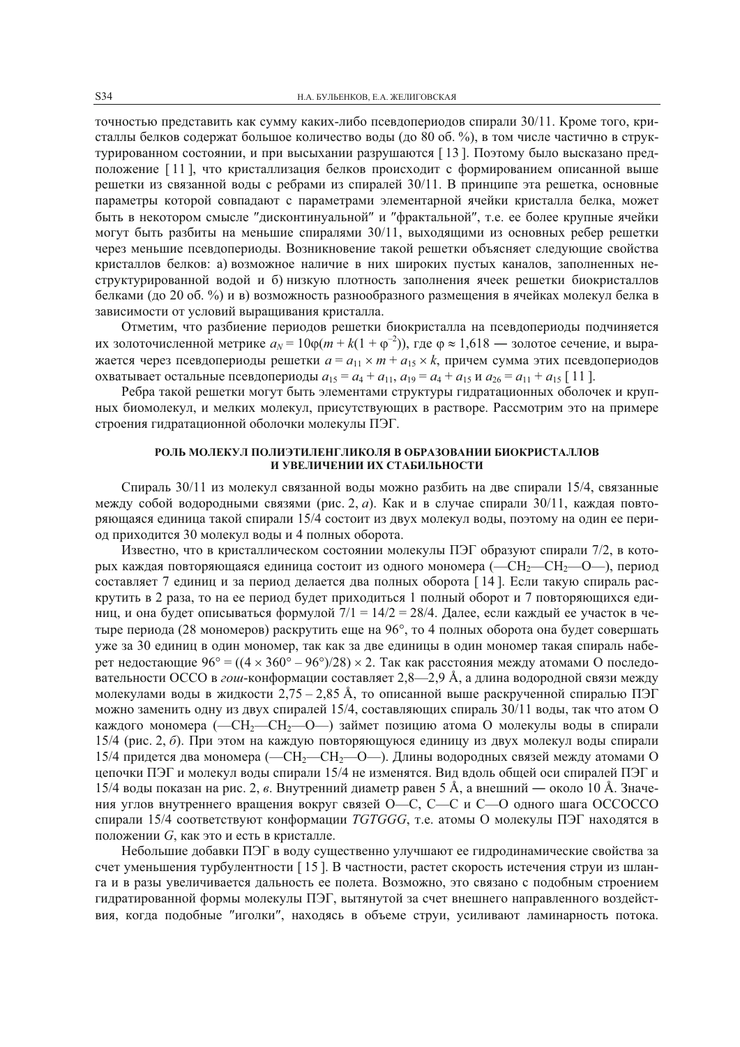точностью представить как сумму каких-либо псевдопериодов спирали 30/11. Кроме того, кристаллы белков содержат большое количество воды (до 80 об. %), в том числе частично в структурированном состоянии, и при высыхании разрушаются [13]. Поэтому было высказано предположение [11], что кристаллизация белков происходит с формированием описанной выше решетки из связанной воды с ребрами из спиралей  $30/11$ . В принципе эта решетка, основные параметры которой совпадают с параметрами элементарной ячейки кристалла белка, может быть в некотором смысле "дисконтинуальной" и "фрактальной", т.е. ее более крупные ячейки могут быть разбиты на меньшие спиралями 30/11, выходящими из основных ребер решетки через меньшие псевдопериоды. Возникновение такой решетки объясняет следующие свойства кристаллов белков: а) возможное наличие в них широких пустых каналов, заполненных неструктурированной водой и б) низкую плотность заполнения ячеек решетки биокристаллов белками (до 20 об. %) и в) возможность разнообразного размещения в ячейках молекул белка в зависимости от условий выращивания кристалла.

Отметим, что разбиение периодов решетки биокристалла на псевдопериоды подчиняется их золоточисленной метрике  $a_N = 10\varphi(m + k(1 + \varphi^{-2}))$ , где  $\varphi \approx 1.618$  — золотое сечение, и выражается через псевдопериоды решетки  $a = a_{11} \times m + a_{15} \times k$ , причем сумма этих псевдопериодов охватывает остальные псевдопериоды  $a_{15} = a_4 + a_{11}$ ,  $a_{19} = a_4 + a_{15}$  и  $a_{26} = a_{11} + a_{15}$  [11].

Ребра такой решетки могут быть элементами структуры гидратационных оболочек и крупных биомолекул, и мелких молекул, присутствующих в растворе. Рассмотрим это на примере строения гидратационной оболочки молекулы ПЭГ.

# РОЛЬ МОЛЕКУЛ ПОЛИЭТИЛЕНГЛИКОЛЯ В ОБРАЗОВАНИИ БИОКРИСТАЛЛОВ И УВЕЛИЧЕНИИ ИХ СТАБИЛЬНОСТИ

Спираль 30/11 из молекул связанной воды можно разбить на две спирали 15/4, связанные между собой водородными связями (рис. 2, *a*). Как и в случае спирали 30/11, каждая повторяющаяся единица такой спирали 15/4 состоит из двух молекул воды, поэтому на один ее период приходится 30 молекул воды и 4 полных оборота.

Известно, что в кристаллическом состоянии молекулы ПЭГ образуют спирали 7/2, в которых каждая повторяющаяся единица состоит из одного мономера (-CH<sub>2</sub>-CH<sub>2</sub>-O-), период составляет 7 единиц и за период делается два полных оборота [14]. Если такую спираль раскрутить в 2 раза, то на ее период будет приходиться 1 полный оборот и 7 повторяющихся единиц, и она будет описываться формулой  $7/1 = 14/2 = 28/4$ . Далее, если каждый ее участок в четыре периода (28 мономеров) раскрутить еще на 96°, то 4 полных оборота она будет совершать уже за 30 единиц в один мономер, так как за две единицы в один мономер такая спираль наберет недостающие 96° =  $((4 \times 360^{\circ} - 96^{\circ})/28) \times 2$ . Так как расстояния между атомами О последовательности ОССО в гош-конформации составляет 2,8—2,9 Å, а длина водородной связи между молекулами воды в жидкости 2.75 – 2.85 Å, то описанной выше раскрученной спиралью ПЭГ можно заменить одну из двух спиралей 15/4, составляющих спираль 30/11 воды, так что атом О каждого мономера (-CH<sub>2</sub>-CH<sub>2</sub>-O-) займет позицию атома О молекулы воды в спирали 15/4 (рис. 2, б). При этом на каждую повторяющуюся единицу из двух молекул воды спирали 15/4 придется два мономера (—CH<sub>2</sub>—CH<sub>2</sub>—O—). Длины водородных связей между атомами О цепочки ПЭГ и молекул воды спирали 15/4 не изменятся. Вид вдоль общей оси спиралей ПЭГ и 15/4 воды показан на рис. 2, в. Внутренний диаметр равен 5 Å, а внешний — около 10 Å. Значения углов внутреннего вращения вокруг связей О—С, С—С и С—О одного шага ОССОССО спирали 15/4 соответствуют конформации TGTGGG, т.е. атомы О молекулы ПЭГ находятся в положении G, как это и есть в кристалле.

Небольшие добавки ПЭГ в воду существенно улучшают ее гидродинамические свойства за счет уменьшения турбулентности [15]. В частности, растет скорость истечения струи из шланга и в разы увеличивается дальность ее полета. Возможно, это связано с подобным строением гидратированной формы молекулы ПЭГ, вытянутой за счет внешнего направленного воздействия, когда подобные "иголки", находясь в объеме струи, усиливают ламинарность потока.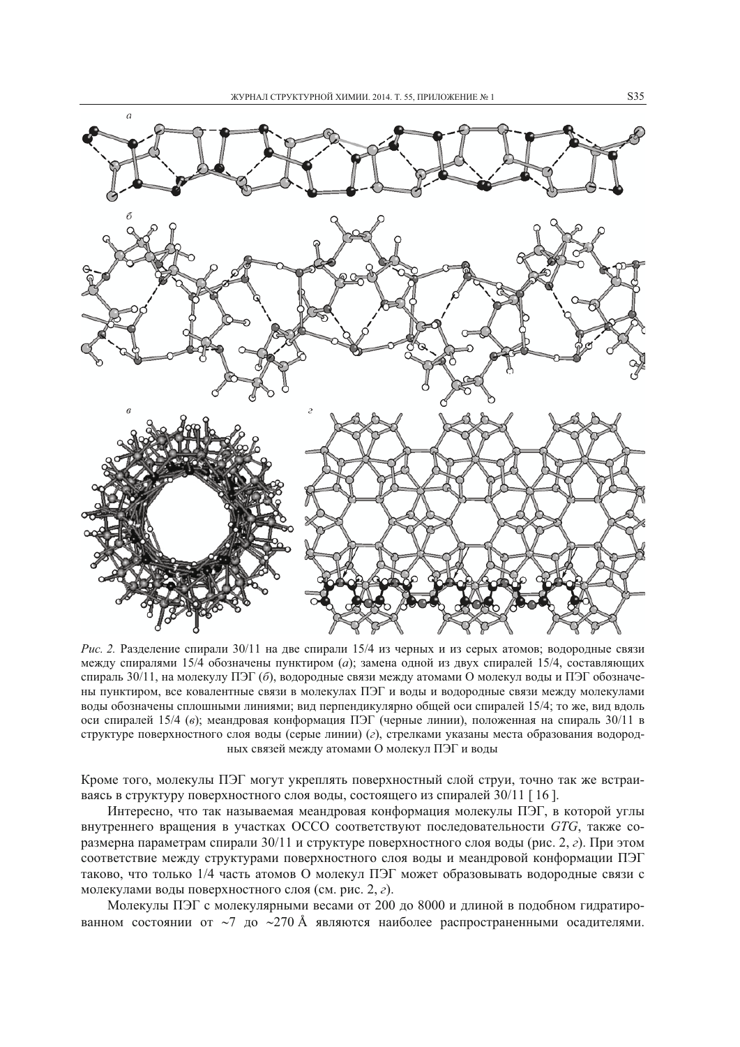

Рис. 2. Разделение спирали  $30/11$  на две спирали  $15/4$  из черных и из серых атомов; водородные связи между спиралями 15/4 обозначены пунктиром (а): замена одной из двух спиралей 15/4, составляющих спираль 30/11, на молекулу ПЭГ (б), водородные связи между атомами О молекул воды и ПЭГ обозначены пунктиром, все ковалентные связи в молекулах ПЭГ и воды и водородные связи между молекулами воды обозначены сплошными линиями; вид перпендикулярно общей оси спиралей 15/4; то же, вид вдоль оси спиралей 15/4 (в); меандровая конформация ПЭГ (черные линии), положенная на спираль 30/11 в структуре поверхностного слоя воды (серые линии) (г), стрелками указаны места образования водородных связей между атомами О молекул ПЭГ и воды

Кроме того, молекулы ПЭГ могут укреплять поверхностный слой струи, точно так же встраиваясь в структуру поверхностного слоя воды, состоящего из спиралей 30/11 [16].

Интересно, что так называемая меандровая конформация молекулы ПЭГ, в которой углы внутреннего вращения в участках ОССО соответствуют последовательности GTG, также соразмерна параметрам спирали 30/11 и структуре поверхностного слоя воды (рис. 2, г). При этом соответствие между структурами поверхностного слоя воды и меандровой конформации ПЭГ таково, что только 1/4 часть атомов О молекул ПЭГ может образовывать водородные связи с молекулами воды поверхностного слоя (см. рис. 2, г).

Молекулы ПЭГ с молекулярными весами от 200 до 8000 и длиной в подобном гидратированном состоянии от ~7 до ~270 Å являются наиболее распространенными осадителями.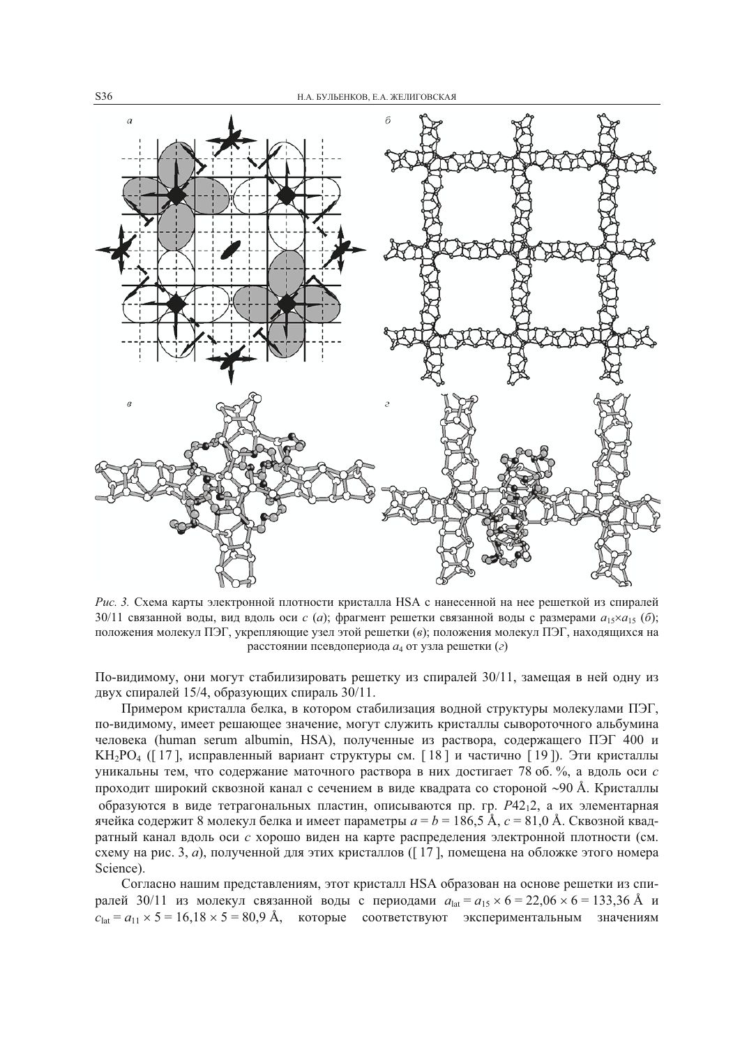

Рис. 3. Схема карты электронной плотности кристалла HSA с нанесенной на нее решеткой из спиралей 30/11 связанной воды, вид вдоль оси с (a); фрагмент решетки связанной воды с размерами  $a_1s \times a_1s$  (6); положения молекул ПЭГ, укрепляющие узел этой решетки (в); положения молекул ПЭГ, находящихся на расстоянии псевдопериода а4 от узла решетки (г)

По-видимому, они могут стабилизировать решетку из спиралей 30/11, замещая в ней одну из двух спиралей 15/4, образующих спираль 30/11.

Примером кристалла белка, в котором стабилизация водной структуры молекулами ПЭГ, по-видимому, имеет решающее значение, могут служить кристаллы сывороточного альбумина человека (human serum albumin, HSA), полученные из раствора, содержащего ПЭГ 400 и КН<sub>2</sub>РО<sub>4</sub> ([17], исправленный вариант структуры см. [18] и частично [19]). Эти кристаллы уникальны тем, что содержание маточного раствора в них достигает 78 об. %, а вдоль оси с проходит широкий сквозной канал с сечением в виде квадрата со стороной ~90 Å. Кристаллы образуются в виде тетрагональных пластин, описываются пр. гр. Р4212, а их элементарная ячейка содержит 8 молекул белка и имеет параметры  $a = b = 186.5 \text{ Å}$ ,  $c = 81.0 \text{ Å}$ . Сквозной квадратный канал вдоль оси с хорошо виден на карте распределения электронной плотности (см. схему на рис. 3, а), полученной для этих кристаллов ([17], помещена на обложке этого номера Science).

Согласно нашим представлениям, этот кристалл HSA образован на основе решетки из спиралей 30/11 из молекул связанной воды с периодами  $a_{\text{lat}} = a_{15} \times 6 = 22,06 \times 6 = 133,36 \text{ Å}$  и  $c_{\text{lat}} = a_{11} \times 5 = 16{,}18 \times 5 = 80{,}9$  Å, которые соответствуют экспериментальным значениям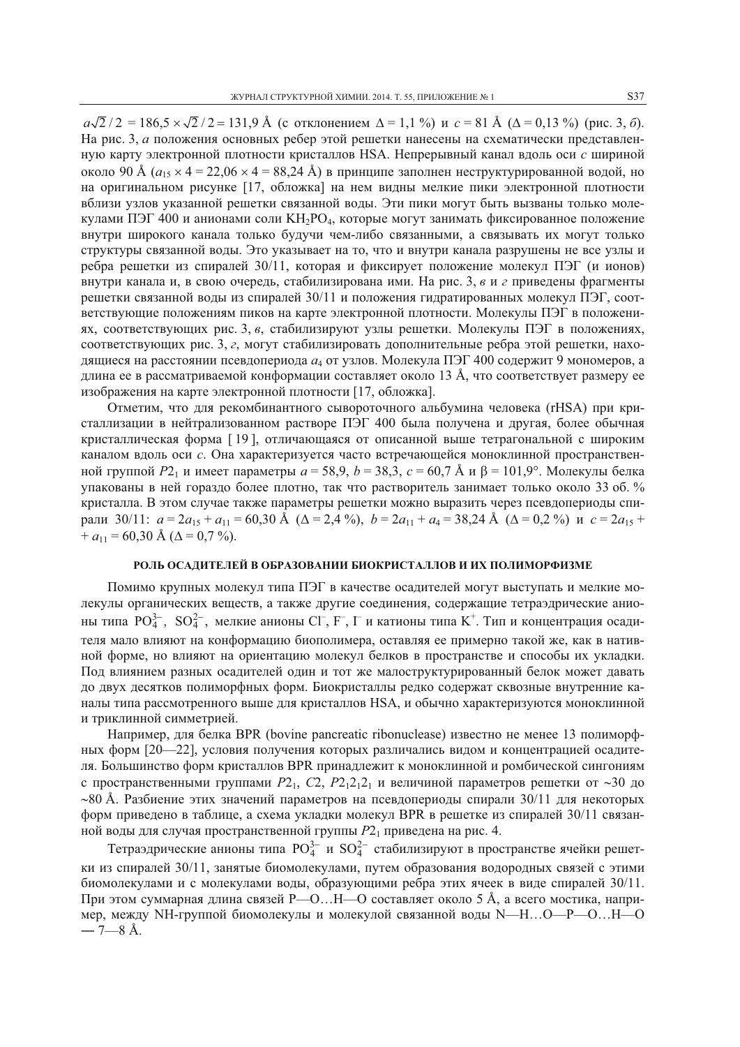$a\sqrt{2}/2 = 186.5 \times \sqrt{2}/2 = 131.9$  Å (с отклонением  $\Delta = 1.1$  %) и  $c = 81$  Å ( $\Delta = 0.13$  %) (рис. 3, 6). На рис. 3, а положения основных ребер этой решетки нанесены на схематически представленную карту электронной плотности кристаллов HSA. Непрерывный канал вдоль оси с шириной около 90 Å ( $a_{15} \times 4 = 22,06 \times 4 = 88,24$  Å) в принципе заполнен неструктурированной водой, но на оригинальном рисунке [17, обложка] на нем видны мелкие пики электронной плотности вблизи узлов указанной решетки связанной воды. Эти пики могут быть вызваны только молекулами ПЭГ 400 и анионами соли КН<sub>2</sub>РО<sub>4</sub>, которые могут занимать фиксированное положение внутри широкого канала только будучи чем-либо связанными, а связывать их могут только структуры связанной воды. Это указывает на то, что и внутри канала разрушены не все узлы и ребра решетки из спиралей 30/11, которая и фиксирует положение молекул ПЭГ (и ионов) внутри канала и, в свою очередь, стабилизирована ими. На рис. 3, в и г приведены фрагменты решетки связанной воды из спиралей 30/11 и положения гидратированных молекул ПЭГ, соответствующие положениям пиков на карте электронной плотности. Молекулы ПЭГ в положениях, соответствующих рис. 3, в, стабилизируют узлы решетки. Молекулы ПЭГ в положениях, соответствующих рис. 3, г, могут стабилизировать дополнительные ребра этой решетки, находящиеся на расстоянии псевдопериода  $a_4$  от узлов. Молекула ПЭГ 400 содержит 9 мономеров, а длина ее в рассматриваемой конформации составляет около 13 Å, что соответствует размеру ее изображения на карте электронной плотности [17, обложка].

Отметим, что для рекомбинантного сывороточного альбумина человека (rHSA) при кристаллизации в нейтрализованном растворе ПЭГ 400 была получена и другая, более обычная кристаллическая форма [19], отличающаяся от описанной выше тетрагональной с широким каналом вдоль оси с. Она характеризуется часто встречающейся моноклинной пространственной группой P2, и имеет параметры  $a = 58.9$ ,  $b = 38.3$ ,  $c = 60.7$  Å и  $\beta = 101.9^{\circ}$ . Молекулы белка упакованы в ней гораздо более плотно, так что растворитель занимает только около 33 об. % кристалла. В этом случае также параметры решетки можно выразить через псевдопериоды спирали 30/11:  $a = 2a_{15} + a_{11} = 60,30$  Å ( $\Delta = 2,4$ %),  $b = 2a_{11} + a_4 = 38,24$  Å ( $\Delta = 0,2$ %) и  $c = 2a_{15} +$  $+ a_{11} = 60,30$  Å ( $\Delta = 0,7$  %).

## РОЛЬ ОСАДИТЕЛЕЙ В ОБРАЗОВАНИИ БИОКРИСТАЛЛОВ И ИХ ПОЛИМОРФИЗМЕ

Помимо крупных молекул типа ПЭГ в качестве осадителей могут выступать и мелкие молекулы органических веществ, а также другие соединения, содержащие тетраэдрические анионы типа  $PO_4^{3-}$ ,  $SO_4^{2-}$ , мелкие анионы Cl<sup>-</sup>, F<sup>-</sup>, I<sup>-</sup> и катионы типа K<sup>+</sup>. Тип и концентрация осадителя мало влияют на конформацию биополимера, оставляя ее примерно такой же, как в нативной форме, но влияют на ориентацию молекул белков в пространстве и способы их укладки. Под влиянием разных осадителей один и тот же малоструктурированный белок может давать до двух десятков полиморфных форм. Биокристаллы редко содержат сквозные внутренние каналы типа рассмотренного выше для кристаллов HSA, и обычно характеризуются моноклинной и триклинной симметрией.

Например, для белка BPR (bovine pancreatic ribonuclease) известно не менее 13 полиморфных форм [20—22], условия получения которых различались видом и концентрацией осадителя. Большинство форм кристаллов BPR принадлежит к моноклинной и ромбической сингониям с пространственными группами  $P_1$ ,  $C_2$ ,  $P_2$ ,  $P_1$ , и величиной параметров решетки от ~30 до  $\sim$ 80 Å. Разбиение этих значений параметров на псевдопериоды спирали 30/11 для некоторых форм приведено в таблице, а схема укладки молекул BPR в решетке из спиралей 30/11 связанной воды для случая пространственной группы  $P2_1$  приведена на рис. 4.<br>Tетраэдрические анионы типа  $PO_4^{3-}$  и  $SO_4^{2-}$  стабилизируют в пространстве ячейки решет-

ки из спиралей 30/11, занятые биомолекулами, путем образования водородных связей с этими биомолекулами и с молекулами воды, образующими ребра этих ячеек в виде спиралей 30/11. При этом суммарная длина связей P—O...H—O составляет около 5 Å, а всего мостика, например, между NH-группой биомолекулы и молекулой связанной воды N—H...O—P—O...H—O  $-7 - 8$  Å.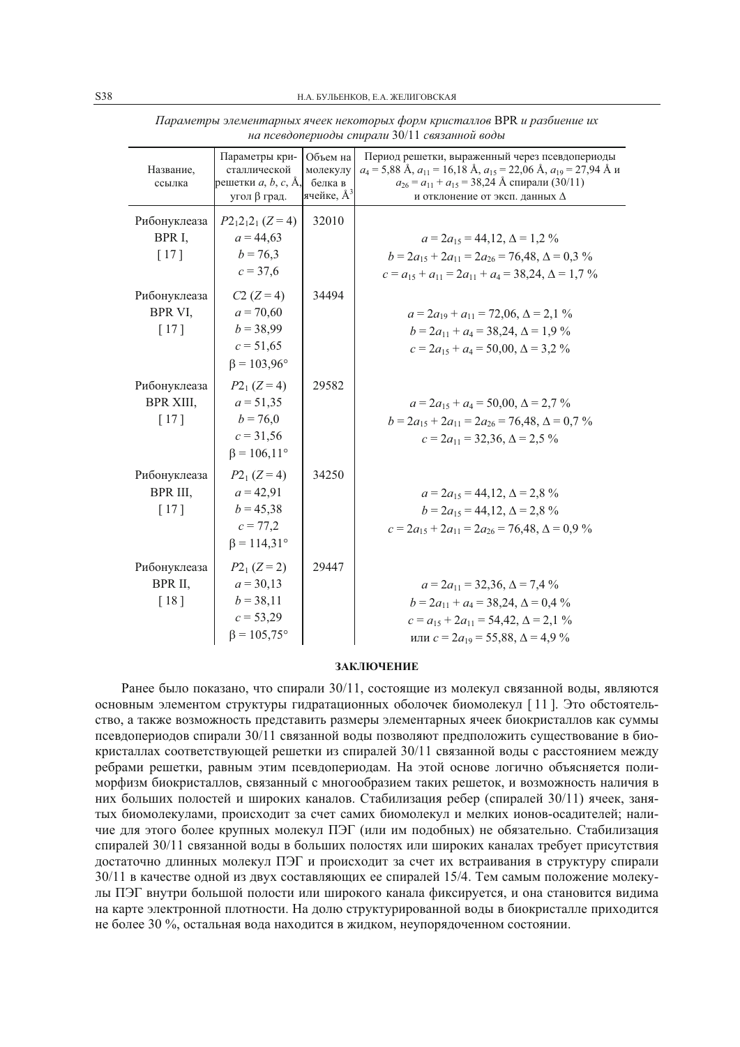| Название,<br>ссылка                          | Параметры кри-<br>сталлической<br>решетки $a, b, c, A$ ,<br>угол $\beta$ град.        | Объем на<br>молекулу<br>белка в<br>ячейке, $A^3$ | Период решетки, выраженный через псевдопериоды<br>$a_4$ = 5,88 Å, $a_{11}$ = 16,18 Å, $a_{15}$ = 22,06 Å, $a_{19}$ = 27,94 Å $\mu$<br>$a_{26} = a_{11} + a_{15} = 38,24$ Å спирали (30/11)<br>и отклонение от эксп. данных $\Delta$ |
|----------------------------------------------|---------------------------------------------------------------------------------------|--------------------------------------------------|-------------------------------------------------------------------------------------------------------------------------------------------------------------------------------------------------------------------------------------|
| Рибонуклеаза<br>BPR I,<br>$\lceil 17 \rceil$ | $P2_12_12_1$ (Z = 4)<br>$a = 44.63$<br>$b = 76,3$<br>$c = 37.6$                       | 32010                                            | $a = 2a_{15} = 44.12$ , $\Delta = 1.2\%$<br>$b = 2a_{15} + 2a_{11} = 2a_{26} = 76,48, \Delta = 0,3\%$<br>$c = a_{15} + a_{11} = 2a_{11} + a_4 = 38,24, \Delta = 1,7\%$                                                              |
| Рибонуклеаза<br>BPR VI,<br>[17]              | $C2 (Z = 4)$<br>$a = 70,60$<br>$b = 38,99$<br>$c = 51,65$<br>$\beta = 103,96^{\circ}$ | 34494                                            | $a = 2a_{19} + a_{11} = 72,06, \Delta = 2,1\%$<br>$b = 2a_{11} + a_4 = 38,24, \Delta = 1,9\%$<br>$c = 2a_{15} + a_4 = 50,00, \Delta = 3,2\%$                                                                                        |
| Рибонуклеаза<br><b>BPR XIII,</b><br>[17]     | $P2_1 (Z=4)$<br>$a = 51,35$<br>$b = 76,0$<br>$c = 31,56$<br>$\beta = 106, 11^{\circ}$ | 29582                                            | $a = 2a_{15} + a_4 = 50,00, \Delta = 2,7\%$<br>$b = 2a_{15} + 2a_{11} = 2a_{26} = 76,48, \Delta = 0,7\%$<br>$c = 2a_{11} = 32.36$ , $\Delta = 2.5\%$                                                                                |
| Рибонуклеаза<br>BPR III,<br>[17]             | $P2_1 (Z=4)$<br>$a = 42,91$<br>$b = 45,38$<br>$c = 77,2$<br>$\beta = 114.31^{\circ}$  | 34250                                            | $a = 2a_{15} = 44,12, \Delta = 2,8\%$<br>$b = 2a_{15} = 44,12, \Delta = 2,8\%$<br>$c = 2a_{15} + 2a_{11} = 2a_{26} = 76,48, \Delta = 0,9\%$                                                                                         |
| Рибонуклеаза<br>BPR II,<br>[18]              | $P2_1 (Z=2)$<br>$a = 30,13$<br>$b = 38,11$<br>$c = 53,29$<br>$\beta = 105,75^{\circ}$ | 29447                                            | $a = 2a_{11} = 32,36, \Delta = 7,4\%$<br>$b = 2a_{11} + a_4 = 38,24, \Delta = 0,4\%$<br>$c = a_{15} + 2a_{11} = 54,42, \Delta = 2,1\%$<br>или $c = 2a_{19} = 55,88$ , $\Delta = 4.9\%$                                              |

Параметры элементарных ячеек некоторых форм кристаллов BPR и разбиение их на псевдопериоды спирали 30/11 связанной воды

#### ЗАКЛЮЧЕНИЕ

Ранее было показано, что спирали 30/11, состоящие из молекул связанной воды, являются основным элементом структуры гидратационных оболочек биомолекул [11]. Это обстоятельство, а также возможность представить размеры элементарных ячеек биокристаллов как суммы псевдопериодов спирали 30/11 связанной воды позволяют предположить существование в биокристаллах соответствующей решетки из спиралей 30/11 связанной воды с расстоянием между ребрами решетки, равным этим псевдопериодам. На этой основе логично объясняется полиморфизм биокристаллов, связанный с многообразием таких решеток, и возможность наличия в них больших полостей и широких каналов. Стабилизация ребер (спиралей 30/11) ячеек, занятых биомолекулами, происходит за счет самих биомолекул и мелких ионов-осадителей; наличие для этого более крупных молекул ПЭГ (или им подобных) не обязательно. Стабилизация спиралей 30/11 связанной воды в больших полостях или широких каналах требует присутствия достаточно длинных молекул ПЭГ и происходит за счет их встраивания в структуру спирали 30/11 в качестве одной из двух составляющих ее спиралей 15/4. Тем самым положение молекулы ПЭГ внутри большой полости или широкого канала фиксируется, и она становится вилима на карте электронной плотности. На долю структурированной воды в биокристалле приходится не более 30 %, остальная вода находится в жидком, неупорядоченном состоянии.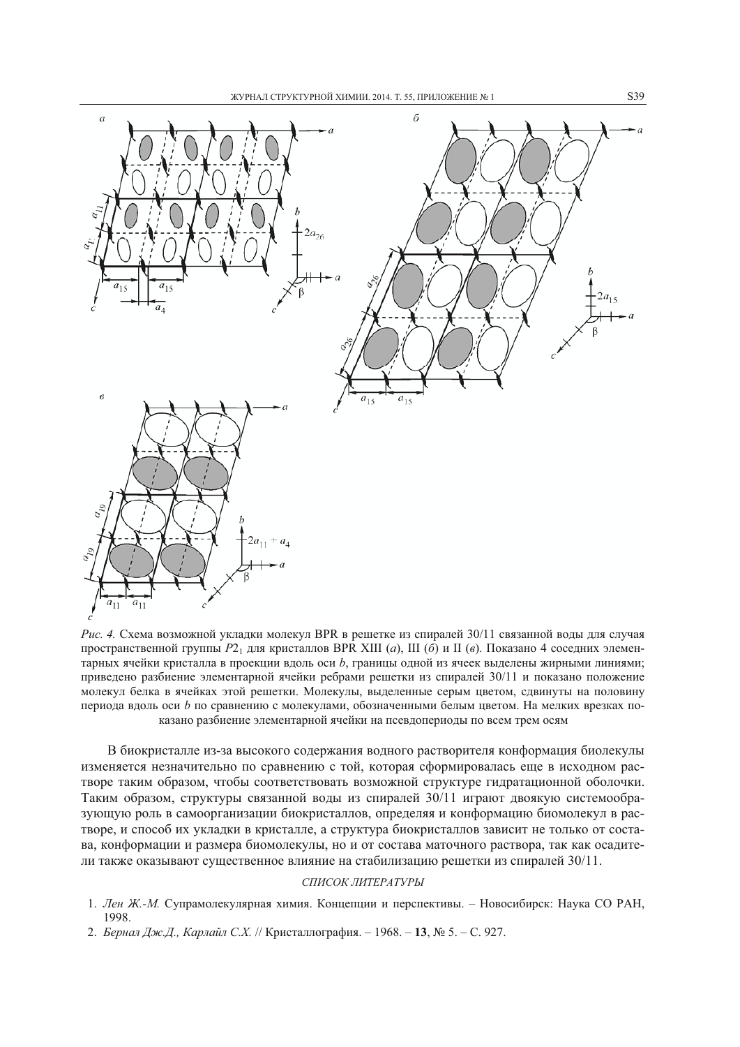

Рис. 4. Схема возможной укладки молекул BPR в решетке из спиралей 30/11 связанной воды для случая пространственной группы  $P2_1$  для кристаллов BPR XIII (а), III (б) и II (в). Показано 4 соседних элементарных ячейки кристалла в проекции вдоль оси b, границы одной из ячеек выделены жирными линиями; привелено разбиение элементарной ячейки ребрами решетки из спиралей 30/11 и показано положение молекул белка в ячейках этой решетки. Молекулы, выделенные серым цветом, сдвинуты на половину периода вдоль оси b по сравнению с молекулами, обозначенными белым цветом. На мелких врезках показано разбиение элементарной ячейки на псевдопериоды по всем трем осям

В биокристалле из-за высокого содержания водного растворителя конформация биолекулы изменяется незначительно по сравнению с той, которая сформировалась еще в исходном растворе таким образом, чтобы соответствовать возможной структуре гидратационной оболочки. Таким образом, структуры связанной воды из спиралей 30/11 играют двоякую системообразующую роль в самоорганизации биокристаллов, определяя и конформацию биомолекул в растворе, и способ их укладки в кристалле, а структура биокристаллов зависит не только от состава, конформации и размера биомолекулы, но и от состава маточного раствора, так как осадители также оказывают существенное влияние на стабилизацию решетки из спиралей 30/11.

## СПИСОК ЛИТЕРАТУРЫ

- 1. Лен Ж.-М. Супрамолекулярная химия. Концепции и перспективы. Новосибирск: Наука СО РАН, 1998.
- 2. Бернал Дж.Д., Карлайл С.Х. // Кристаллография. 1968. 13, № 5. С. 927.